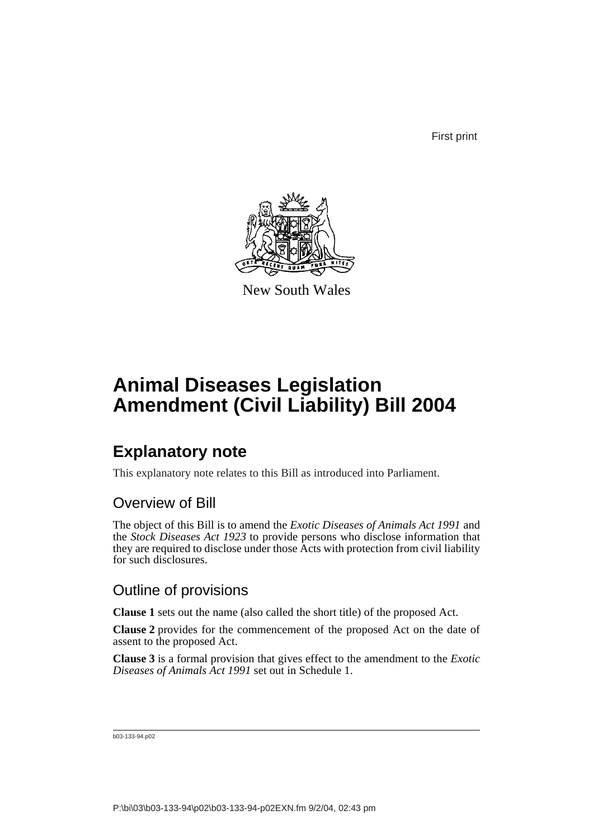First print



New South Wales

# **Animal Diseases Legislation Amendment (Civil Liability) Bill 2004**

## **Explanatory note**

This explanatory note relates to this Bill as introduced into Parliament.

### Overview of Bill

The object of this Bill is to amend the *Exotic Diseases of Animals Act 1991* and the *Stock Diseases Act 1923* to provide persons who disclose information that they are required to disclose under those Acts with protection from civil liability for such disclosures.

### Outline of provisions

**Clause 1** sets out the name (also called the short title) of the proposed Act.

**Clause 2** provides for the commencement of the proposed Act on the date of assent to the proposed Act.

**Clause 3** is a formal provision that gives effect to the amendment to the *Exotic Diseases of Animals Act 1991* set out in Schedule 1.

b03-133-94.p02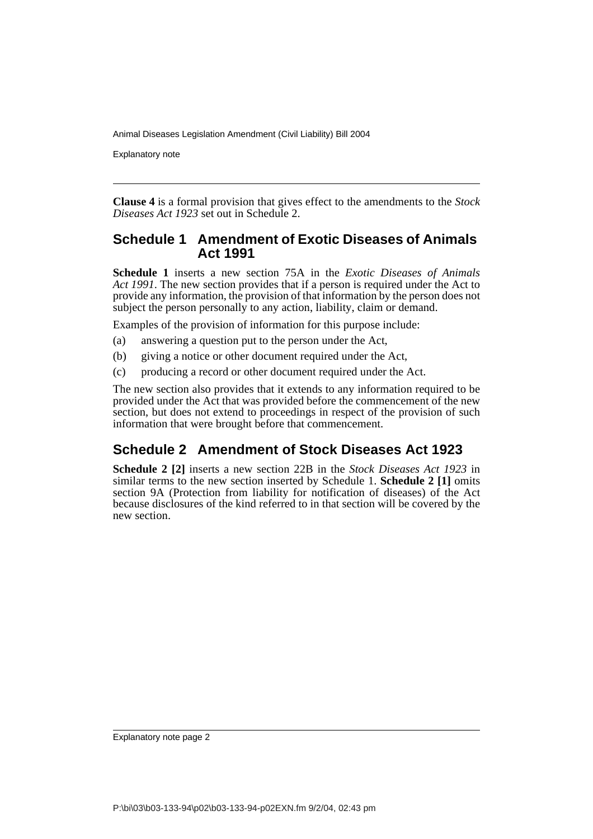Explanatory note

**Clause 4** is a formal provision that gives effect to the amendments to the *Stock Diseases Act 1923* set out in Schedule 2.

#### **Schedule 1 Amendment of Exotic Diseases of Animals Act 1991**

**Schedule 1** inserts a new section 75A in the *Exotic Diseases of Animals Act 1991*. The new section provides that if a person is required under the Act to provide any information, the provision of that information by the person does not subject the person personally to any action, liability, claim or demand.

Examples of the provision of information for this purpose include:

- (a) answering a question put to the person under the Act,
- (b) giving a notice or other document required under the Act,
- (c) producing a record or other document required under the Act.

The new section also provides that it extends to any information required to be provided under the Act that was provided before the commencement of the new section, but does not extend to proceedings in respect of the provision of such information that were brought before that commencement.

### **Schedule 2 Amendment of Stock Diseases Act 1923**

**Schedule 2 [2]** inserts a new section 22B in the *Stock Diseases Act 1923* in similar terms to the new section inserted by Schedule 1. **Schedule 2 [1]** omits section 9A (Protection from liability for notification of diseases) of the Act because disclosures of the kind referred to in that section will be covered by the new section.

Explanatory note page 2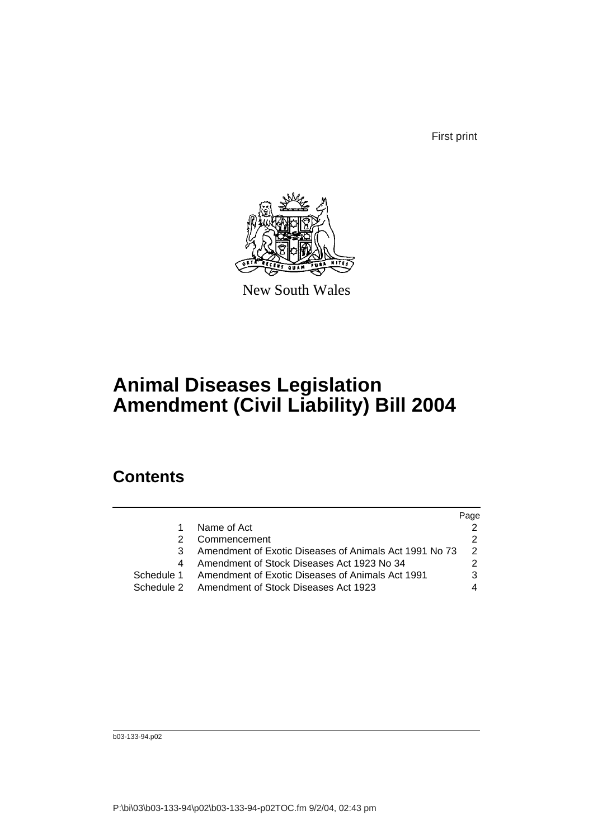First print



New South Wales

## **Animal Diseases Legislation Amendment (Civil Liability) Bill 2004**

### **Contents**

|             |                                                        | Page |
|-------------|--------------------------------------------------------|------|
|             | Name of Act                                            |      |
|             | Commencement                                           |      |
|             | Amendment of Exotic Diseases of Animals Act 1991 No 73 | 2    |
| 4           | Amendment of Stock Diseases Act 1923 No 34             |      |
| Schedule 1. | Amendment of Exotic Diseases of Animals Act 1991       |      |
|             | Schedule 2 Amendment of Stock Diseases Act 1923        |      |
|             |                                                        |      |

b03-133-94.p02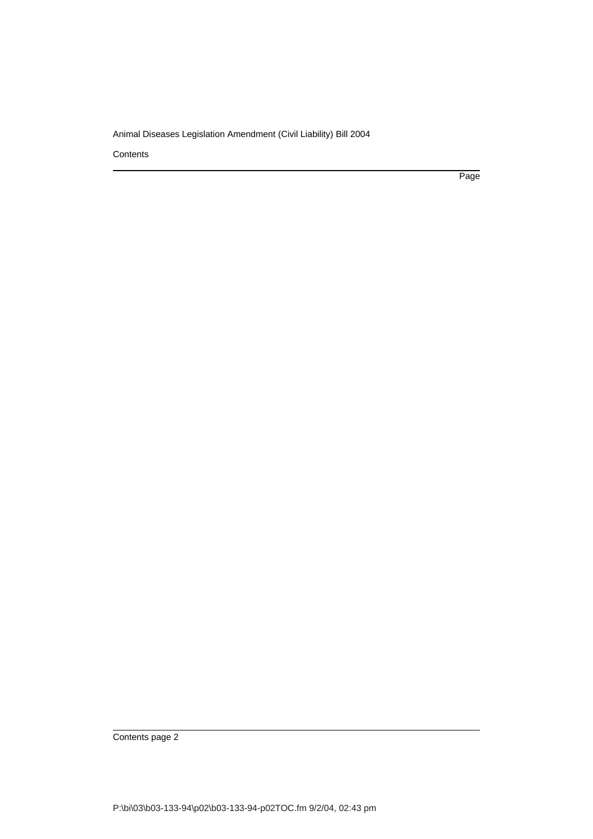**Contents** 

Page

Contents page 2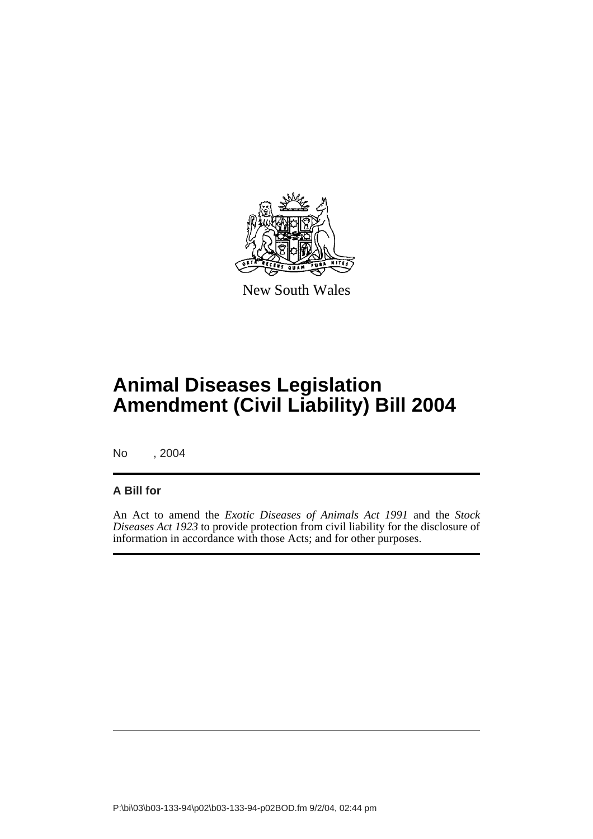

New South Wales

# **Animal Diseases Legislation Amendment (Civil Liability) Bill 2004**

No , 2004

#### **A Bill for**

An Act to amend the *Exotic Diseases of Animals Act 1991* and the *Stock Diseases Act 1923* to provide protection from civil liability for the disclosure of information in accordance with those Acts; and for other purposes.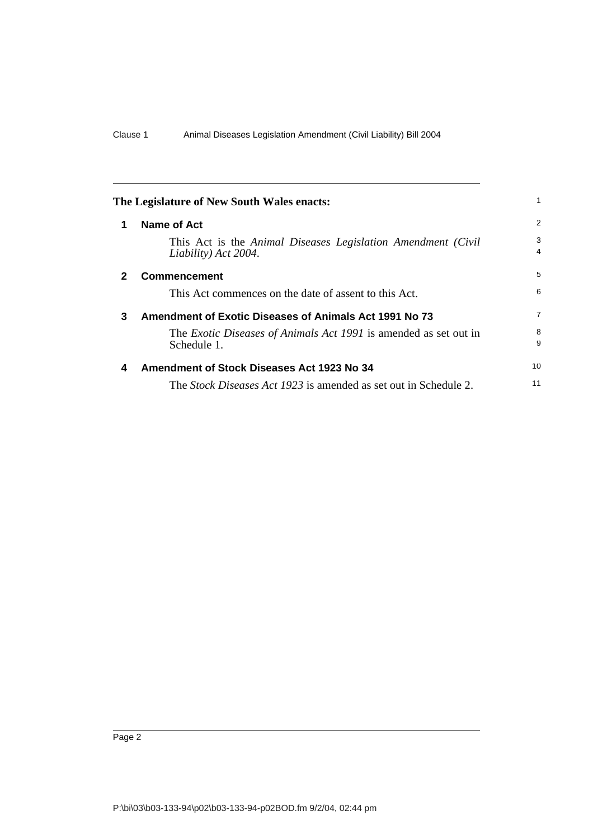<span id="page-5-3"></span><span id="page-5-2"></span><span id="page-5-1"></span><span id="page-5-0"></span>

|              | The Legislature of New South Wales enacts:                                           |        |
|--------------|--------------------------------------------------------------------------------------|--------|
| 1            | <b>Name of Act</b>                                                                   | 2      |
|              | This Act is the Animal Diseases Legislation Amendment (Civil<br>Liability) Act 2004. | 3<br>4 |
| $\mathbf{2}$ | <b>Commencement</b>                                                                  | 5      |
|              | This Act commences on the date of assent to this Act.                                | 6      |
| 3            | Amendment of Exotic Diseases of Animals Act 1991 No 73                               |        |
|              | The Exotic Diseases of Animals Act 1991 is amended as set out in<br>Schedule 1.      | 8<br>9 |
| 4            | Amendment of Stock Diseases Act 1923 No 34                                           |        |
|              | The <i>Stock Diseases Act 1923</i> is amended as set out in Schedule 2.              | 11     |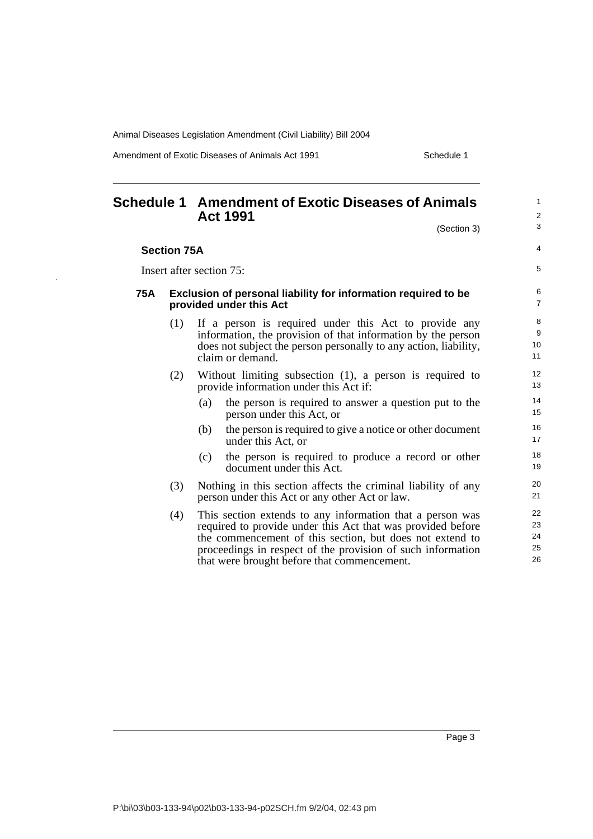Amendment of Exotic Diseases of Animals Act 1991 Schedule 1

ò,

<span id="page-6-0"></span>

|     |                    | <b>Schedule 1 Amendment of Exotic Diseases of Animals</b><br><b>Act 1991</b>                                                                                                                                                                                                                       | 1<br>$\overline{c}$<br>3   |
|-----|--------------------|----------------------------------------------------------------------------------------------------------------------------------------------------------------------------------------------------------------------------------------------------------------------------------------------------|----------------------------|
|     |                    | (Section 3)                                                                                                                                                                                                                                                                                        |                            |
|     | <b>Section 75A</b> |                                                                                                                                                                                                                                                                                                    | 4                          |
|     |                    | Insert after section 75:                                                                                                                                                                                                                                                                           | 5                          |
| 75A |                    | Exclusion of personal liability for information required to be<br>provided under this Act                                                                                                                                                                                                          | 6<br>$\overline{7}$        |
|     | (1)                | If a person is required under this Act to provide any<br>information, the provision of that information by the person<br>does not subject the person personally to any action, liability,<br>claim or demand.                                                                                      | 8<br>9<br>10<br>11         |
|     | (2)                | Without limiting subsection $(1)$ , a person is required to<br>provide information under this Act if:                                                                                                                                                                                              | 12<br>13                   |
|     |                    | the person is required to answer a question put to the<br>(a)<br>person under this Act, or                                                                                                                                                                                                         | 14<br>15                   |
|     |                    | the person is required to give a notice or other document<br>(b)<br>under this Act, or                                                                                                                                                                                                             | 16<br>17                   |
|     |                    | the person is required to produce a record or other<br>(c)<br>document under this Act.                                                                                                                                                                                                             | 18<br>19                   |
|     | (3)                | Nothing in this section affects the criminal liability of any<br>person under this Act or any other Act or law.                                                                                                                                                                                    | 20<br>21                   |
|     | (4)                | This section extends to any information that a person was<br>required to provide under this Act that was provided before<br>the commencement of this section, but does not extend to<br>proceedings in respect of the provision of such information<br>that were brought before that commencement. | 22<br>23<br>24<br>25<br>26 |

Page 3